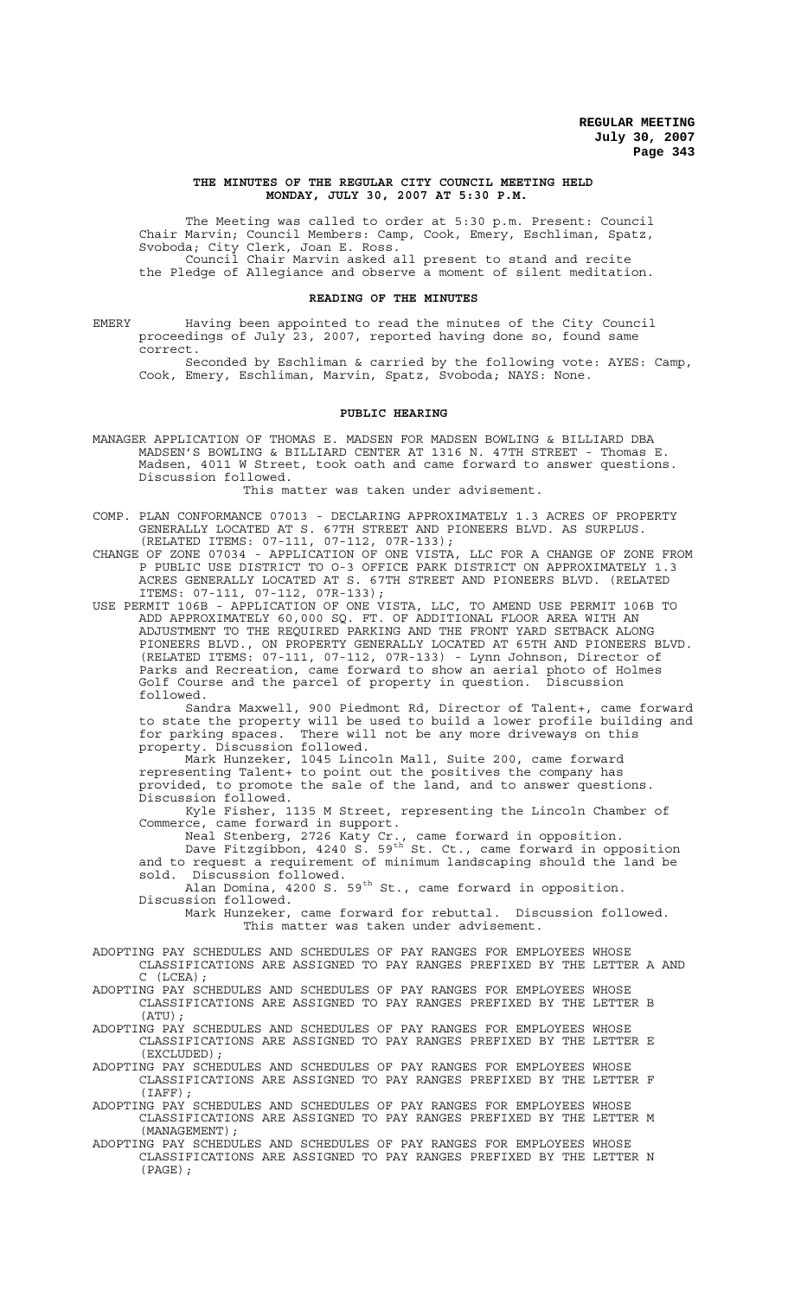#### **THE MINUTES OF THE REGULAR CITY COUNCIL MEETING HELD MONDAY, JULY 30, 2007 AT 5:30 P.M.**

The Meeting was called to order at 5:30 p.m. Present: Council Chair Marvin; Council Members: Camp, Cook, Emery, Eschliman, Spatz, Svoboda; City Clerk, Joan E. Ross. Council Chair Marvin asked all present to stand and recite the Pledge of Allegiance and observe a moment of silent meditation.

#### **READING OF THE MINUTES**

EMERY Having been appointed to read the minutes of the City Council proceedings of July 23, 2007, reported having done so, found same correct.

Seconded by Eschliman & carried by the following vote: AYES: Camp, Cook, Emery, Eschliman, Marvin, Spatz, Svoboda; NAYS: None.

## **PUBLIC HEARING**

MANAGER APPLICATION OF THOMAS E. MADSEN FOR MADSEN BOWLING & BILLIARD DBA MADSEN'S BOWLING & BILLIARD CENTER AT 1316 N. 47TH STREET - Thomas E. Madsen, 4011 W Street, took oath and came forward to answer questions. Discussion followed.

This matter was taken under advisement.

- COMP. PLAN CONFORMANCE 07013 DECLARING APPROXIMATELY 1.3 ACRES OF PROPERTY GENERALLY LOCATED AT S. 67TH STREET AND PIONEERS BLVD. AS SURPLUS. (RELATED ITEMS: 07-111, 07-112, 07R-133);
- CHANGE OF ZONE 07034 APPLICATION OF ONE VISTA, LLC FOR A CHANGE OF ZONE FROM P PUBLIC USE DISTRICT TO O-3 OFFICE PARK DISTRICT ON APPROXIMATELY 1.3 ACRES GENERALLY LOCATED AT S. 67TH STREET AND PIONEERS BLVD. (RELATED ITEMS: 07-111, 07-112, 07R-133);
- USE PERMIT 106B APPLICATION OF ONE VISTA, LLC, TO AMEND USE PERMIT 106B TO ADD APPROXIMATELY 60,000 SQ. FT. OF ADDITIONAL FLOOR AREA WITH AN ADJUSTMENT TO THE REQUIRED PARKING AND THE FRONT YARD SETBACK ALONG PIONEERS BLVD., ON PROPERTY GENERALLY LOCATED AT 65TH AND PIONEERS BLVD. (RELATED ITEMS: 07-111, 07-112, 07R-133) - Lynn Johnson, Director of Parks and Recreation, came forward to show an aerial photo of Holmes Golf Course and the parcel of property in question. Discussion followed.

Sandra Maxwell, 900 Piedmont Rd, Director of Talent+, came forward to state the property will be used to build a lower profile building and for parking spaces. There will not be any more driveways on this property. Discussion followed.

Mark Hunzeker, 1045 Lincoln Mall, Suite 200, came forward representing Talent+ to point out the positives the company has provided, to promote the sale of the land, and to answer questions. Discussion followed.

Kyle Fisher, 1135 M Street, representing the Lincoln Chamber of Commerce, came forward in support.

Neal Stenberg, 2726 Katy Cr., came forward in opposition. Dave Fitzgibbon, 4240 S. 59<sup>th</sup> St. Ct., came forward in opposition and to request a requirement of minimum landscaping should the land be sold. Discussion followed.

Alan Domina, 4200 S. 59<sup>th</sup> St., came forward in opposition. Discussion followed.

Mark Hunzeker, came forward for rebuttal. Discussion followed. This matter was taken under advisement.

ADOPTING PAY SCHEDULES AND SCHEDULES OF PAY RANGES FOR EMPLOYEES WHOSE CLASSIFICATIONS ARE ASSIGNED TO PAY RANGES PREFIXED BY THE LETTER A AND  $(LCEA)$ ;

ADOPTING PAY SCHEDULES AND SCHEDULES OF PAY RANGES FOR EMPLOYEES WHOSE CLASSIFICATIONS ARE ASSIGNED TO PAY RANGES PREFIXED BY THE LETTER B (ATU);

- ADOPTING PAY SCHEDULES AND SCHEDULES OF PAY RANGES FOR EMPLOYEES WHOSE CLASSIFICATIONS ARE ASSIGNED TO PAY RANGES PREFIXED BY THE LETTER E (EXCLUDED);
- ADOPTING PAY SCHEDULES AND SCHEDULES OF PAY RANGES FOR EMPLOYEES WHOSE CLASSIFICATIONS ARE ASSIGNED TO PAY RANGES PREFIXED BY THE LETTER F (IAFF);

ADOPTING PAY SCHEDULES AND SCHEDULES OF PAY RANGES FOR EMPLOYEES WHOSE CLASSIFICATIONS ARE ASSIGNED TO PAY RANGES PREFIXED BY THE LETTER M (MANAGEMENT);

ADOPTING PAY SCHEDULES AND SCHEDULES OF PAY RANGES FOR EMPLOYEES WHOSE CLASSIFICATIONS ARE ASSIGNED TO PAY RANGES PREFIXED BY THE LETTER N (PAGE);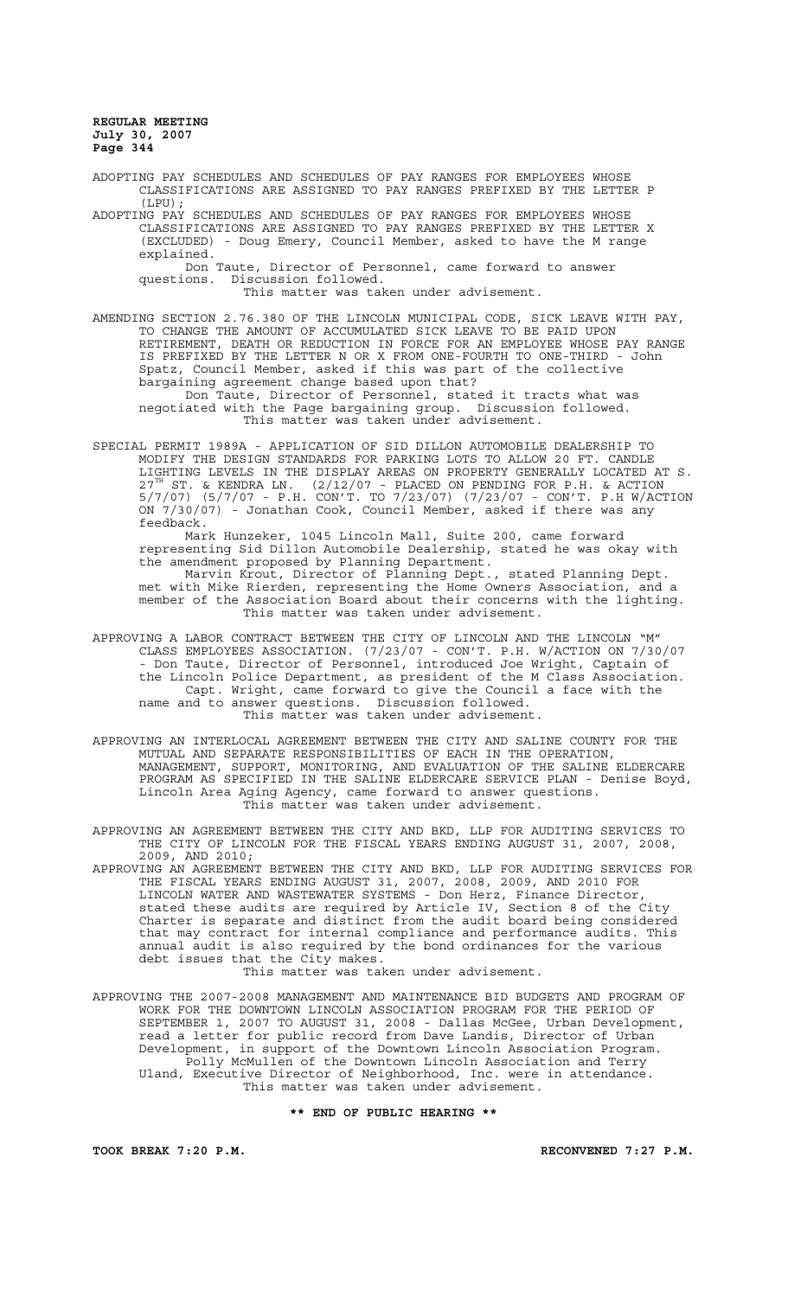ADOPTING PAY SCHEDULES AND SCHEDULES OF PAY RANGES FOR EMPLOYEES WHOSE CLASSIFICATIONS ARE ASSIGNED TO PAY RANGES PREFIXED BY THE LETTER P (LPU);

ADOPTING PAY SCHEDULES AND SCHEDULES OF PAY RANGES FOR EMPLOYEES WHOSE CLASSIFICATIONS ARE ASSIGNED TO PAY RANGES PREFIXED BY THE LETTER X (EXCLUDED) - Doug Emery, Council Member, asked to have the M range explained.

Don Taute, Director of Personnel, came forward to answer questions. Discussion followed.

This matter was taken under advisement.

AMENDING SECTION 2.76.380 OF THE LINCOLN MUNICIPAL CODE, SICK LEAVE WITH PAY, TO CHANGE THE AMOUNT OF ACCUMULATED SICK LEAVE TO BE PAID UPON RETIREMENT, DEATH OR REDUCTION IN FORCE FOR AN EMPLOYEE WHOSE PAY RANGE IS PREFIXED BY THE LETTER N OR X FROM ONE-FOURTH TO ONE-THIRD - John Spatz, Council Member, asked if this was part of the collective bargaining agreement change based upon that?

Don Taute, Director of Personnel, stated it tracts what was negotiated with the Page bargaining group. Discussion followed. This matter was taken under advisement.

SPECIAL PERMIT 1989A - APPLICATION OF SID DILLON AUTOMOBILE DEALERSHIP TO MODIFY THE DESIGN STANDARDS FOR PARKING LOTS TO ALLOW 20 FT. CANDLE LIGHTING LEVELS IN THE DISPLAY AREAS ON PROPERTY GENERALLY LOCATED AT S.  $27^{\text{TH}}$  ST. & KENDRA LN.  $(2/12/07$  - PLACED ON PENDING FOR P.H. & ACTION 5/7/07) (5/7/07 - P.H. CON'T. TO 7/23/07) (7/23/07 - CON'T. P.H W/ACTION ON 7/30/07) - Jonathan Cook, Council Member, asked if there was any feedback.

Mark Hunzeker, 1045 Lincoln Mall, Suite 200, came forward representing Sid Dillon Automobile Dealership, stated he was okay with the amendment proposed by Planning Department.

Marvin Krout, Director of Planning Dept., stated Planning Dept. met with Mike Rierden, representing the Home Owners Association, and a member of the Association Board about their concerns with the lighting. This matter was taken under advisement.

- APPROVING A LABOR CONTRACT BETWEEN THE CITY OF LINCOLN AND THE LINCOLN "M" CLASS EMPLOYEES ASSOCIATION. (7/23/07 - CON'T. P.H. W/ACTION ON 7/30/07 - Don Taute, Director of Personnel, introduced Joe Wright, Captain of the Lincoln Police Department, as president of the M Class Association. Capt. Wright, came forward to give the Council a face with the name and to answer questions. Discussion followed. This matter was taken under advisement.
- APPROVING AN INTERLOCAL AGREEMENT BETWEEN THE CITY AND SALINE COUNTY FOR THE MUTUAL AND SEPARATE RESPONSIBILITIES OF EACH IN THE OPERATION, MANAGEMENT, SUPPORT, MONITORING, AND EVALUATION OF THE SALINE ELDERCARE PROGRAM AS SPECIFIED IN THE SALINE ELDERCARE SERVICE PLAN - Denise Boyd, Lincoln Area Aging Agency, came forward to answer questions. This matter was taken under advisement.

APPROVING AN AGREEMENT BETWEEN THE CITY AND BKD, LLP FOR AUDITING SERVICES TO THE CITY OF LINCOLN FOR THE FISCAL YEARS ENDING AUGUST 31, 2007, 2008, 2009, AND 2010;

APPROVING AN AGREEMENT BETWEEN THE CITY AND BKD, LLP FOR AUDITING SERVICES FOR THE FISCAL YEARS ENDING AUGUST 31, 2007, 2008, 2009, AND 2010 FOR LINCOLN WATER AND WASTEWATER SYSTEMS - Don Herz, Finance Director, stated these audits are required by Article IV, Section 8 of the City Charter is separate and distinct from the audit board being considered that may contract for internal compliance and performance audits. This annual audit is also required by the bond ordinances for the various debt issues that the City makes. This matter was taken under advisement.

APPROVING THE 2007-2008 MANAGEMENT AND MAINTENANCE BID BUDGETS AND PROGRAM OF WORK FOR THE DOWNTOWN LINCOLN ASSOCIATION PROGRAM FOR THE PERIOD OF SEPTEMBER 1, 2007 TO AUGUST 31, 2008 - Dallas McGee, Urban Development, read a letter for public record from Dave Landis, Director of Urban Development, in support of the Downtown Lincoln Association Program. Polly McMullen of the Downtown Lincoln Association and Terry Uland, Executive Director of Neighborhood, Inc. were in attendance. This matter was taken under advisement.

**\*\* END OF PUBLIC HEARING \*\***

**TOOK BREAK 7:20 P.M. RECONVENED 7:27 P.M.**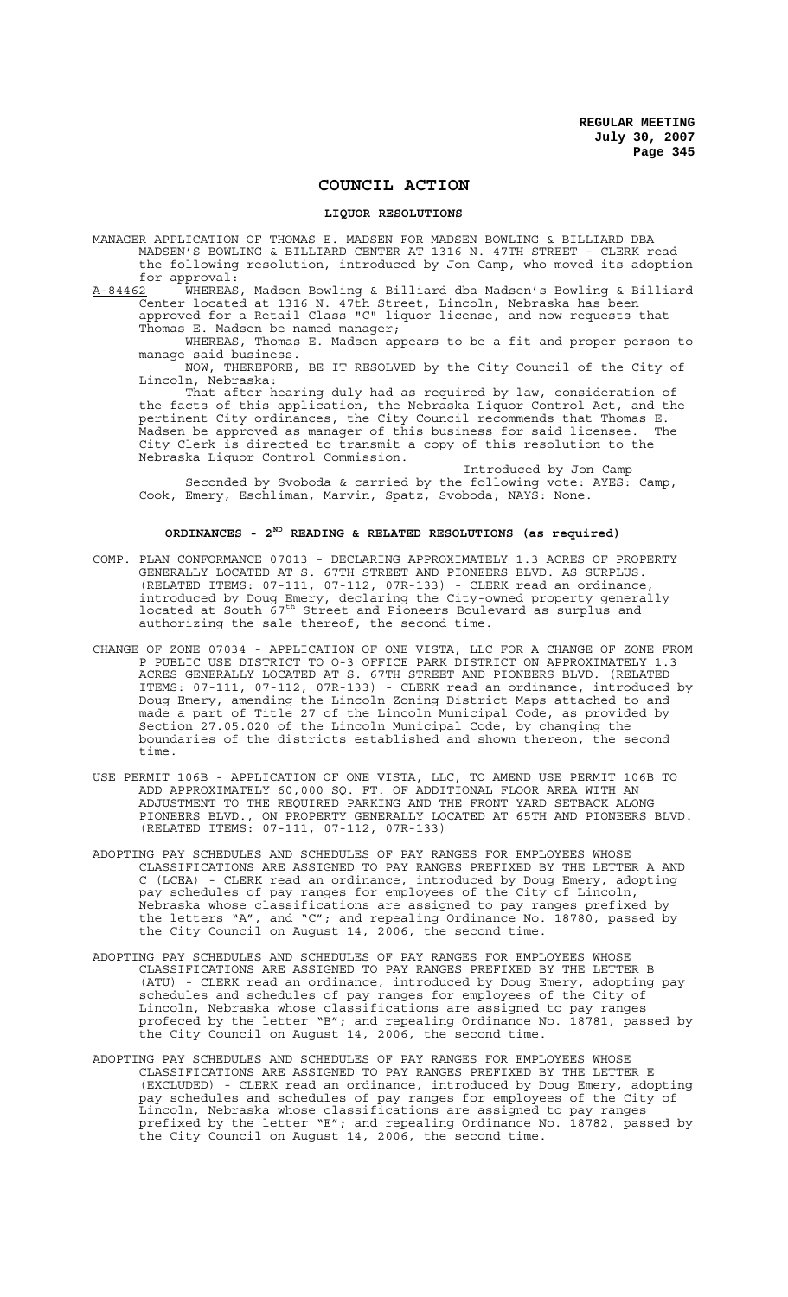## **COUNCIL ACTION**

## **LIQUOR RESOLUTIONS**

MANAGER APPLICATION OF THOMAS E. MADSEN FOR MADSEN BOWLING & BILLIARD DBA MADSEN'S BOWLING & BILLIARD CENTER AT 1316 N. 47TH STREET - CLERK read the following resolution, introduced by Jon Camp, who moved its adoption for approval:<br>A-84462 WHEREAS

A-84462 WHEREAS, Madsen Bowling & Billiard dba Madsen's Bowling & Billiard Center located at 1316 N. 47th Street, Lincoln, Nebraska has been approved for a Retail Class "C" liquor license, and now requests that Thomas E. Madsen be named manager;

WHEREAS, Thomas E. Madsen appears to be a fit and proper person to manage said business.

NOW, THEREFORE, BE IT RESOLVED by the City Council of the City of Lincoln, Nebraska:

That after hearing duly had as required by law, consideration of the facts of this application, the Nebraska Liquor Control Act, and the pertinent City ordinances, the City Council recommends that Thomas E. .<br>Madsen be approved as manager of this business for said licensee. The City Clerk is directed to transmit a copy of this resolution to the Nebraska Liquor Control Commission.

Introduced by Jon Camp Seconded by Svoboda & carried by the following vote: AYES: Camp, Cook, Emery, Eschliman, Marvin, Spatz, Svoboda; NAYS: None.

# **ORDINANCES - 2ND READING & RELATED RESOLUTIONS (as required)**

- COMP. PLAN CONFORMANCE 07013 DECLARING APPROXIMATELY 1.3 ACRES OF PROPERTY GENERALLY LOCATED AT S. 67TH STREET AND PIONEERS BLVD. AS SURPLUS. (RELATED ITEMS: 07-111, 07-112, 07R-133) - CLERK read an ordinance, introduced by Doug Emery, declaring the City-owned property generally located at South 67<sup>th</sup> Street and Pioneers Boulevard as surplus and authorizing the sale thereof, the second time.
- CHANGE OF ZONE 07034 APPLICATION OF ONE VISTA, LLC FOR A CHANGE OF ZONE FROM P PUBLIC USE DISTRICT TO O-3 OFFICE PARK DISTRICT ON APPROXIMATELY 1.3 ACRES GENERALLY LOCATED AT S. 67TH STREET AND PIONEERS BLVD. (RELATED ITEMS: 07-111, 07-112, 07R-133) - CLERK read an ordinance, introduced by Doug Emery, amending the Lincoln Zoning District Maps attached to and made a part of Title 27 of the Lincoln Municipal Code, as provided by Section 27.05.020 of the Lincoln Municipal Code, by changing the boundaries of the districts established and shown thereon, the second time.
- USE PERMIT 106B APPLICATION OF ONE VISTA, LLC, TO AMEND USE PERMIT 106B TO ADD APPROXIMATELY 60,000 SQ. FT. OF ADDITIONAL FLOOR AREA WITH AN ADJUSTMENT TO THE REQUIRED PARKING AND THE FRONT YARD SETBACK ALONG PIONEERS BLVD., ON PROPERTY GENERALLY LOCATED AT 65TH AND PIONEERS BLVD. (RELATED ITEMS: 07-111, 07-112, 07R-133)
- ADOPTING PAY SCHEDULES AND SCHEDULES OF PAY RANGES FOR EMPLOYEES WHOSE CLASSIFICATIONS ARE ASSIGNED TO PAY RANGES PREFIXED BY THE LETTER A AND C (LCEA) - CLERK read an ordinance, introduced by Doug Emery, adopting pay schedules of pay ranges for employees of the City of Lincoln, Nebraska whose classifications are assigned to pay ranges prefixed by the letters "A", and "C"; and repealing Ordinance No. 18780, passed by the City Council on August 14, 2006, the second time.
- ADOPTING PAY SCHEDULES AND SCHEDULES OF PAY RANGES FOR EMPLOYEES WHOSE CLASSIFICATIONS ARE ASSIGNED TO PAY RANGES PREFIXED BY THE LETTER B (ATU) - CLERK read an ordinance, introduced by Doug Emery, adopting pay schedules and schedules of pay ranges for employees of the City of Lincoln, Nebraska whose classifications are assigned to pay ranges profeced by the letter "B"; and repealing Ordinance No. 18781, passed by the City Council on August 14, 2006, the second time.
- ADOPTING PAY SCHEDULES AND SCHEDULES OF PAY RANGES FOR EMPLOYEES WHOSE CLASSIFICATIONS ARE ASSIGNED TO PAY RANGES PREFIXED BY THE LETTER E (EXCLUDED) - CLERK read an ordinance, introduced by Doug Emery, adopting pay schedules and schedules of pay ranges for employees of the City of Lincoln, Nebraska whose classifications are assigned to pay ranges prefixed by the letter "E"; and repealing Ordinance No. 18782, passed by the City Council on August 14, 2006, the second time.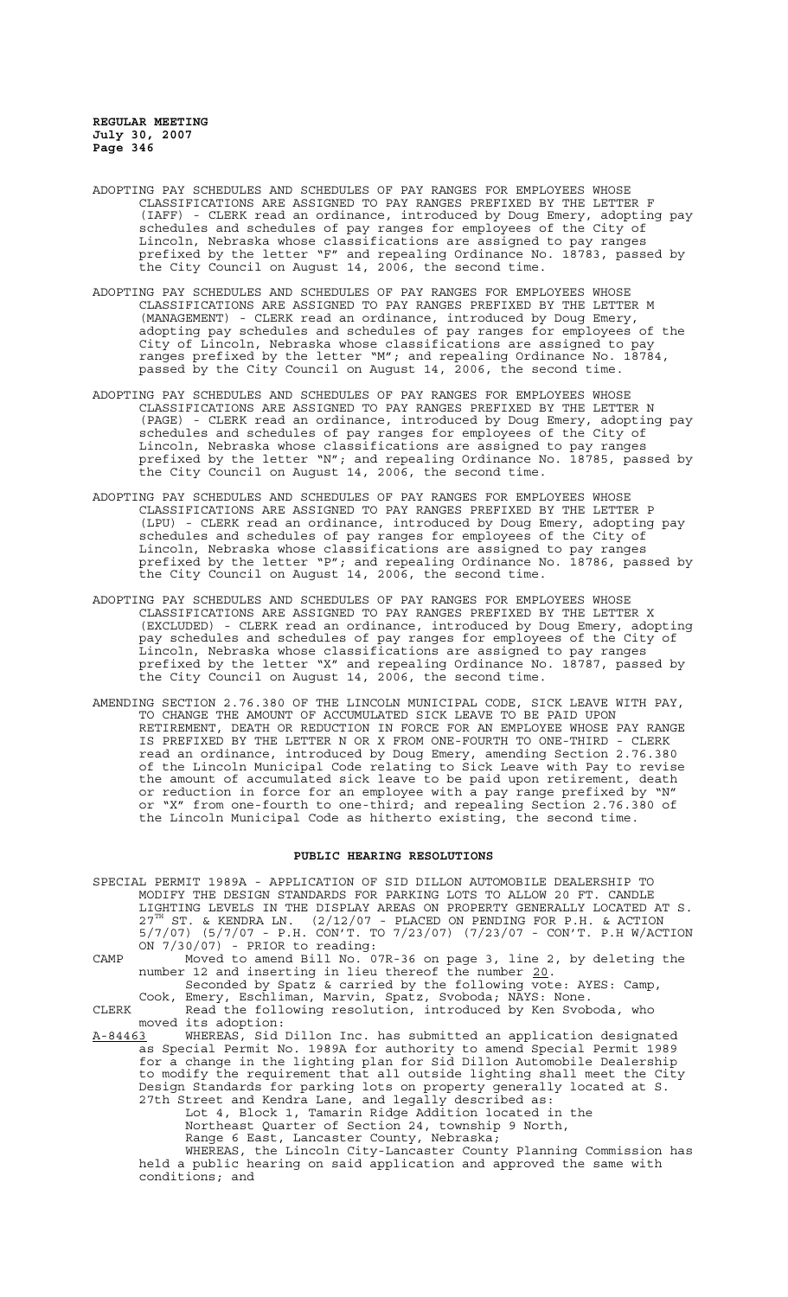- ADOPTING PAY SCHEDULES AND SCHEDULES OF PAY RANGES FOR EMPLOYEES WHOSE CLASSIFICATIONS ARE ASSIGNED TO PAY RANGES PREFIXED BY THE LETTER F (IAFF) - CLERK read an ordinance, introduced by Doug Emery, adopting pay schedules and schedules of pay ranges for employees of the City of Lincoln, Nebraska whose classifications are assigned to pay ranges prefixed by the letter "F" and repealing Ordinance No. 18783, passed by the City Council on August 14, 2006, the second time.
- ADOPTING PAY SCHEDULES AND SCHEDULES OF PAY RANGES FOR EMPLOYEES WHOSE CLASSIFICATIONS ARE ASSIGNED TO PAY RANGES PREFIXED BY THE LETTER M (MANAGEMENT) - CLERK read an ordinance, introduced by Doug Emery, adopting pay schedules and schedules of pay ranges for employees of the City of Lincoln, Nebraska whose classifications are assigned to pay ranges prefixed by the letter "M"; and repealing Ordinance No. 18784, passed by the City Council on August 14, 2006, the second time.
- ADOPTING PAY SCHEDULES AND SCHEDULES OF PAY RANGES FOR EMPLOYEES WHOSE CLASSIFICATIONS ARE ASSIGNED TO PAY RANGES PREFIXED BY THE LETTER N (PAGE) - CLERK read an ordinance, introduced by Doug Emery, adopting pay schedules and schedules of pay ranges for employees of the City of Lincoln, Nebraska whose classifications are assigned to pay ranges prefixed by the letter "N"; and repealing Ordinance No. 18785, passed by the City Council on August 14, 2006, the second time.
- ADOPTING PAY SCHEDULES AND SCHEDULES OF PAY RANGES FOR EMPLOYEES WHOSE CLASSIFICATIONS ARE ASSIGNED TO PAY RANGES PREFIXED BY THE LETTER P (LPU) - CLERK read an ordinance, introduced by Doug Emery, adopting pay schedules and schedules of pay ranges for employees of the City of Lincoln, Nebraska whose classifications are assigned to pay ranges prefixed by the letter "P"; and repealing Ordinance No. 18786, passed by .<br>the City Council on August 14, 2006, the second time.
- ADOPTING PAY SCHEDULES AND SCHEDULES OF PAY RANGES FOR EMPLOYEES WHOSE CLASSIFICATIONS ARE ASSIGNED TO PAY RANGES PREFIXED BY THE LETTER X (EXCLUDED) - CLERK read an ordinance, introduced by Doug Emery, adopting pay schedules and schedules of pay ranges for employees of the City of Lincoln, Nebraska whose classifications are assigned to pay ranges prefixed by the letter "X" and repealing Ordinance No. 18787, passed by the City Council on August 14, 2006, the second time.
- AMENDING SECTION 2.76.380 OF THE LINCOLN MUNICIPAL CODE, SICK LEAVE WITH PAY, TO CHANGE THE AMOUNT OF ACCUMULATED SICK LEAVE TO BE PAID UPON RETIREMENT, DEATH OR REDUCTION IN FORCE FOR AN EMPLOYEE WHOSE PAY RANGE IS PREFIXED BY THE LETTER N OR X FROM ONE-FOURTH TO ONE-THIRD - CLERK read an ordinance, introduced by Doug Emery, amending Section 2.76.380 of the Lincoln Municipal Code relating to Sick Leave with Pay to revise the amount of accumulated sick leave to be paid upon retirement, death or reduction in force for an employee with a pay range prefixed by "N" or "X" from one-fourth to one-third; and repealing Section 2.76.380 of the Lincoln Municipal Code as hitherto existing, the second time.

#### **PUBLIC HEARING RESOLUTIONS**

- SPECIAL PERMIT 1989A APPLICATION OF SID DILLON AUTOMOBILE DEALERSHIP TO MODIFY THE DESIGN STANDARDS FOR PARKING LOTS TO ALLOW 20 FT. CANDLE LIGHTING LEVELS IN THE DISPLAY AREAS ON PROPERTY GENERALLY LOCATED AT S.  $27^{\text{TH}}$  ST. & KENDRA LN.  $(2/12/07$  - PLACED ON PENDING FOR P.H. & ACTION 5/7/07) (5/7/07 - P.H. CON'T. TO 7/23/07) (7/23/07 - CON'T. P.H W/ACTION  $ON$   $7/30/07$ ) - PRIOR to reading:
- CAMP Moved to amend Bill No. 07R-36 on page 3, line 2, by deleting the number 12 and inserting in lieu thereof the number 20.

Seconded by Spatz & carried by the following vote: AYES: Camp, Cook, Emery, Eschliman, Marvin, Spatz, Svoboda; NAYS: None. CLERK Read the following resolution, introduced by Ken Svoboda, who

moved its adoption:

A-84463 WHEREAS, Sid Dillon Inc. has submitted an application designated as Special Permit No. 1989A for authority to amend Special Permit 1989 for a change in the lighting plan for Sid Dillon Automobile Dealership to modify the requirement that all outside lighting shall meet the City Design Standards for parking lots on property generally located at S. 27th Street and Kendra Lane, and legally described as:

Lot 4, Block 1, Tamarin Ridge Addition located in the Northeast Quarter of Section 24, township 9 North,

Range 6 East, Lancaster County, Nebraska;

WHEREAS, the Lincoln City-Lancaster County Planning Commission has held a public hearing on said application and approved the same with conditions; and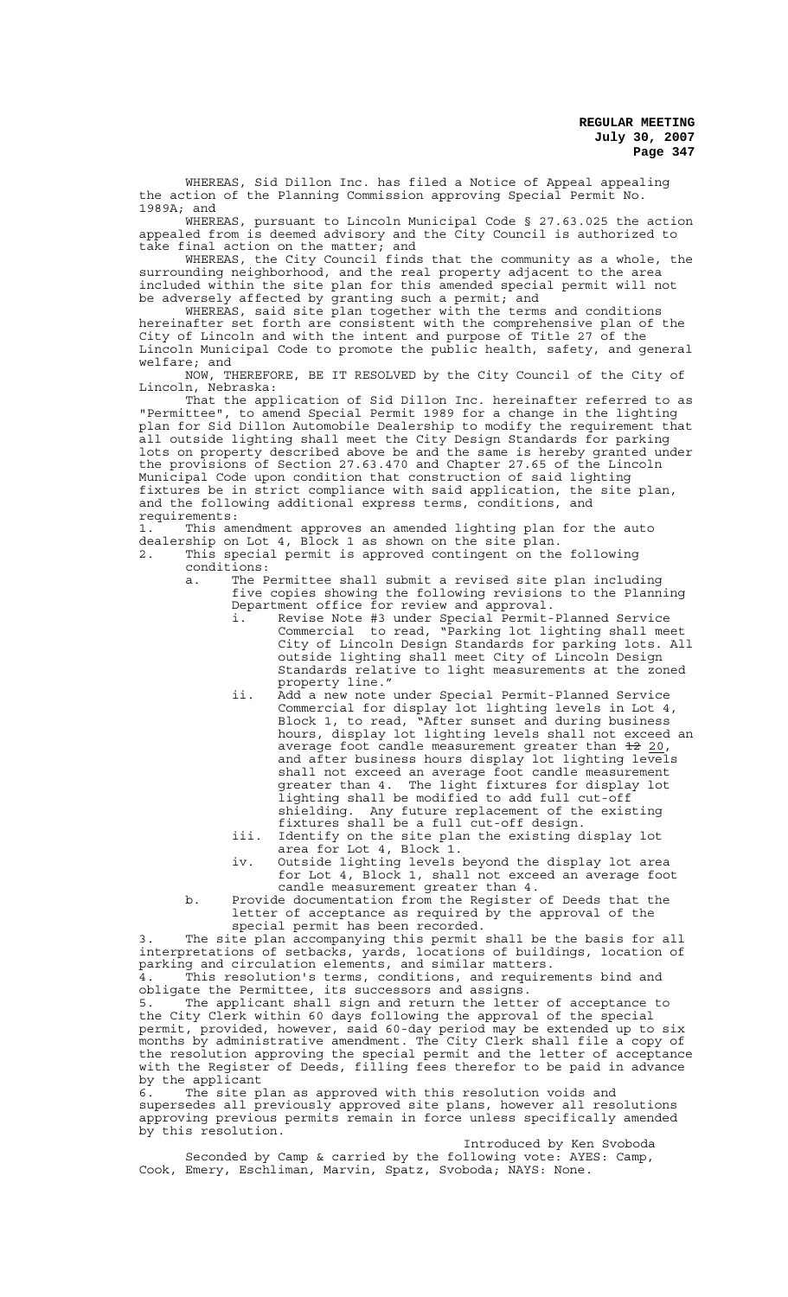WHEREAS, Sid Dillon Inc. has filed a Notice of Appeal appealing the action of the Planning Commission approving Special Permit No. 1989A; and

WHEREAS, pursuant to Lincoln Municipal Code § 27.63.025 the action appealed from is deemed advisory and the City Council is authorized to take final action on the matter; and

WHEREAS, the City Council finds that the community as a whole, the surrounding neighborhood, and the real property adjacent to the area included within the site plan for this amended special permit will not be adversely affected by granting such a permit; and

WHEREAS, said site plan together with the terms and conditions hereinafter set forth are consistent with the comprehensive plan of the City of Lincoln and with the intent and purpose of Title 27 of the Lincoln Municipal Code to promote the public health, safety, and general welfare; and

NOW, THEREFORE, BE IT RESOLVED by the City Council of the City of Lincoln, Nebraska:

That the application of Sid Dillon Inc. hereinafter referred to as "Permittee", to amend Special Permit 1989 for a change in the lighting plan for Sid Dillon Automobile Dealership to modify the requirement that all outside lighting shall meet the City Design Standards for parking lots on property described above be and the same is hereby granted under the provisions of Section 27.63.470 and Chapter 27.65 of the Lincoln Municipal Code upon condition that construction of said lighting fixtures be in strict compliance with said application, the site plan, and the following additional express terms, conditions, and requirements:

1. This amendment approves an amended lighting plan for the auto dealership on Lot 4, Block 1 as shown on the site plan. 2. This special permit is approved contingent on the following

conditions:

 a. The Permittee shall submit a revised site plan including five copies showing the following revisions to the Planning Department office for review and approval.

- i. Revise Note #3 under Special Permit-Planned Service Commercial to read, "Parking lot lighting shall meet City of Lincoln Design Standards for parking lots. All outside lighting shall meet City of Lincoln Design Standards relative to light measurements at the zoned property line."
- ii. Add a new note under Special Permit-Planned Service Commercial for display lot lighting levels in Lot 4, Block 1, to read, "After sunset and during business hours, display lot lighting levels shall not exceed an average foot candle measurement greater than <del>12</del> 20,<br>and after business hours display lot lighting levels shall not exceed an average foot candle measurement greater than 4. The light fixtures for display lot lighting shall be modified to add full cut-off shielding. Any future replacement of the existing fixtures shall be a full cut-off design.
- iii. Identify on the site plan the existing display lot area for Lot 4, Block 1.
- iv. Outside lighting levels beyond the display lot area for Lot 4, Block 1, shall not exceed an average foot candle measurement greater than 4.
- b. Provide documentation from the Register of Deeds that the letter of acceptance as required by the approval of the special permit has been recorded.

3. The site plan accompanying this permit shall be the basis for all interpretations of setbacks, yards, locations of buildings, location of parking and circulation elements, and similar matters.

4. This resolution's terms, conditions, and requirements bind and obligate the Permittee, its successors and assigns.

The applicant shall sign and return the letter of acceptance to the City Clerk within 60 days following the approval of the special permit, provided, however, said 60-day period may be extended up to six months by administrative amendment. The City Clerk shall file a copy of the resolution approving the special permit and the letter of acceptance with the Register of Deeds, filling fees therefor to be paid in advance by the applicant

6. The site plan as approved with this resolution voids and supersedes all previously approved site plans, however all resolutions approving previous permits remain in force unless specifically amended by this resolution.

Introduced by Ken Svoboda Seconded by Camp & carried by the following vote: AYES: Camp, Cook, Emery, Eschliman, Marvin, Spatz, Svoboda; NAYS: None.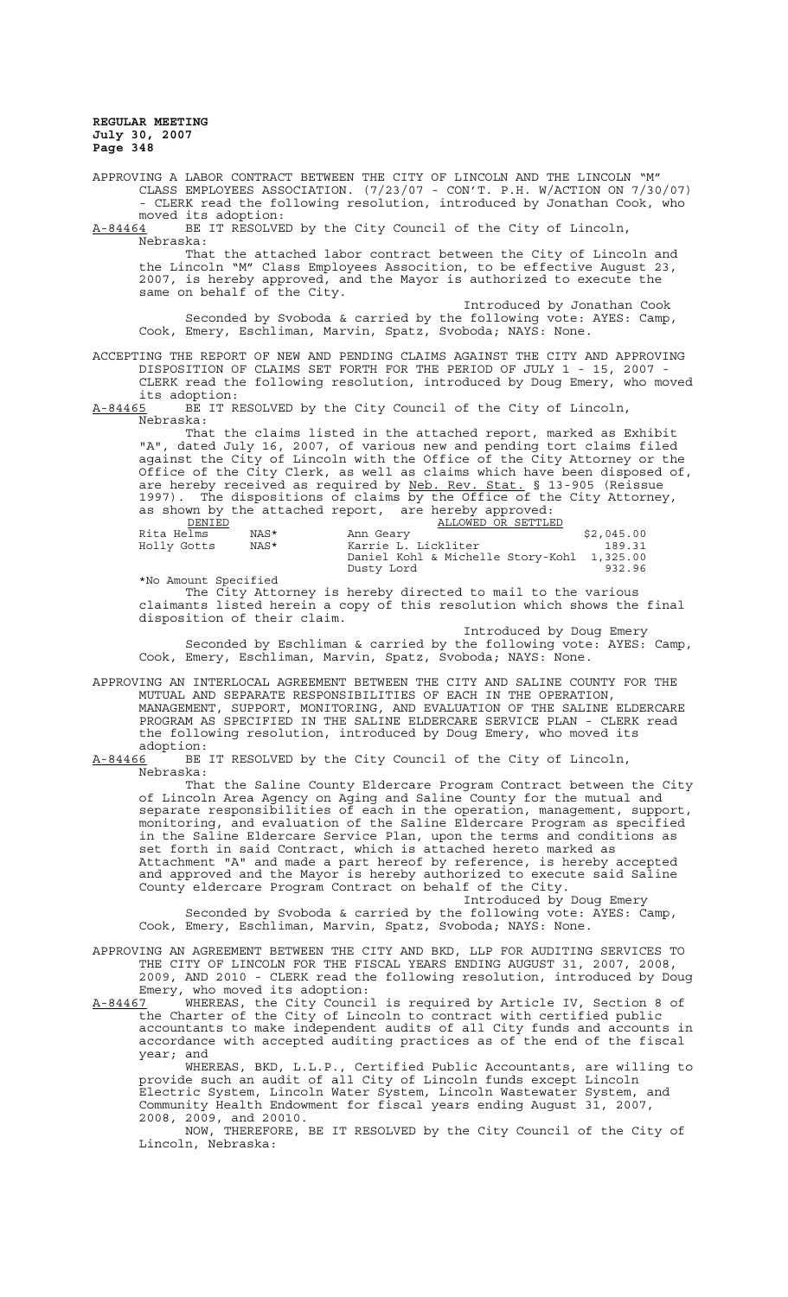APPROVING A LABOR CONTRACT BETWEEN THE CITY OF LINCOLN AND THE LINCOLN "M" CLASS EMPLOYEES ASSOCIATION. (7/23/07 - CON'T. P.H. W/ACTION ON 7/30/07) - CLERK read the following resolution, introduced by Jonathan Cook, who

moved its adoption:<br>A-84464 BE IT RESOLVE BE IT RESOLVED by the City Council of the City of Lincoln, Nebraska:

That the attached labor contract between the City of Lincoln and the Lincoln "M" Class Employees Assocition, to be effective August 23, 2007, is hereby approved, and the Mayor is authorized to execute the same on behalf of the City.

Introduced by Jonathan Cook Seconded by Svoboda & carried by the following vote: AYES: Camp, Cook, Emery, Eschliman, Marvin, Spatz, Svoboda; NAYS: None.

#### ACCEPTING THE REPORT OF NEW AND PENDING CLAIMS AGAINST THE CITY AND APPROVING DISPOSITION OF CLAIMS SET FORTH FOR THE PERIOD OF JULY 1 - 15, 2007 - CLERK read the following resolution, introduced by Doug Emery, who moved its adoption:

A-84465 BE IT RESOLVED by the City Council of the City of Lincoln, Nebraska:

That the claims listed in the attached report, marked as Exhibit "A", dated July 16, 2007, of various new and pending tort claims filed against the City of Lincoln with the Office of the City Attorney or the Office of the City Clerk, as well as claims which have been disposed of, are hereby received as required by Neb. Rev. Stat. § 13-905 (Reissue 1997). The dispositions of claims by the Office of the City Attorney, as shown by the attached report, are hereby approved:

| DENIED               |      | ALLOWED OR SETTLED                         |            |
|----------------------|------|--------------------------------------------|------------|
| Rita Helms           | NAS* | Ann Geary                                  | \$2,045.00 |
| Holly Gotts          | NAS* | Karrie L. Lickliter                        | 189.31     |
|                      |      | Daniel Kohl & Michelle Story-Kohl 1,325.00 |            |
|                      |      | Dusty Lord                                 | 932.96     |
| *No Amount Specified |      |                                            |            |

The City Attorney is hereby directed to mail to the various claimants listed herein a copy of this resolution which shows the final disposition of their claim.

Introduced by Doug Emery Seconded by Eschliman & carried by the following vote: AYES: Camp, Cook, Emery, Eschliman, Marvin, Spatz, Svoboda; NAYS: None.

APPROVING AN INTERLOCAL AGREEMENT BETWEEN THE CITY AND SALINE COUNTY FOR THE MUTUAL AND SEPARATE RESPONSIBILITIES OF EACH IN THE OPERATION, MANAGEMENT, SUPPORT, MONITORING, AND EVALUATION OF THE SALINE ELDERCARE PROGRAM AS SPECIFIED IN THE SALINE ELDERCARE SERVICE PLAN - CLERK read the following resolution, introduced by Doug Emery, who moved its

adoption:<br><u>A-84466</u> BE BE IT RESOLVED by the City Council of the City of Lincoln, Nebraska:

That the Saline County Eldercare Program Contract between the City of Lincoln Area Agency on Aging and Saline County for the mutual and separate responsibilities of each in the operation, management, support, monitoring, and evaluation of the Saline Eldercare Program as specified in the Saline Eldercare Service Plan, upon the terms and conditions as set forth in said Contract, which is attached hereto marked as Attachment "A" and made a part hereof by reference, is hereby accepted and approved and the Mayor is hereby authorized to execute said Saline County eldercare Program Contract on behalf of the City.

Introduced by Doug Emery Seconded by Svoboda & carried by the following vote: AYES: Camp, Cook, Emery, Eschliman, Marvin, Spatz, Svoboda; NAYS: None.

APPROVING AN AGREEMENT BETWEEN THE CITY AND BKD, LLP FOR AUDITING SERVICES TO THE CITY OF LINCOLN FOR THE FISCAL YEARS ENDING AUGUST 31, 2007, 2008, 2009, AND 2010 - CLERK read the following resolution, introduced by Doug Emery, who moved its adoption:

A-84467 WHEREAS, the City Council is required by Article IV, Section 8 of the Charter of the City of Lincoln to contract with certified public accountants to make independent audits of all City funds and accounts in accordance with accepted auditing practices as of the end of the fiscal year; and

WHEREAS, BKD, L.L.P., Certified Public Accountants, are willing to provide such an audit of all City of Lincoln funds except Lincoln Electric System, Lincoln Water System, Lincoln Wastewater System, and Community Health Endowment for fiscal years ending August 31, 2007, 2008, 2009, and 20010.

NOW, THEREFORE, BE IT RESOLVED by the City Council of the City of Lincoln, Nebraska: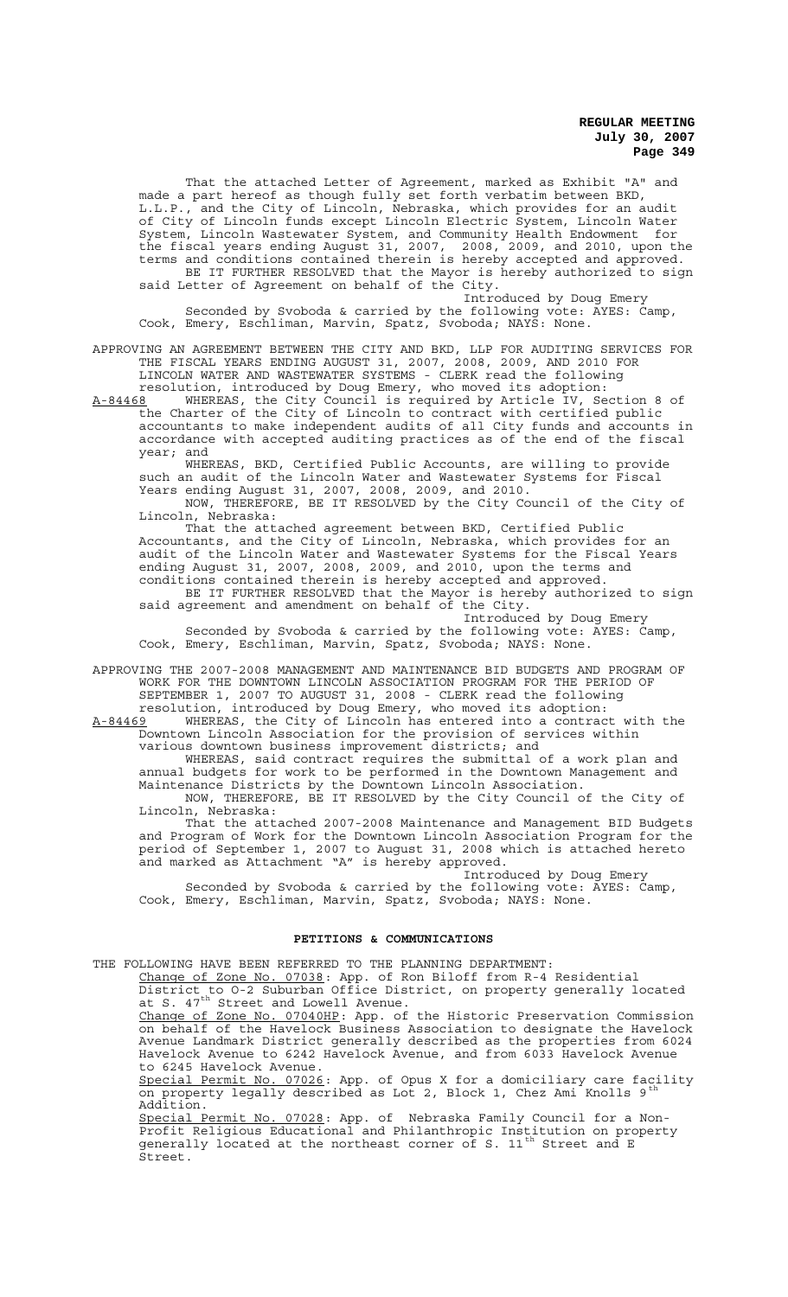That the attached Letter of Agreement, marked as Exhibit "A" and made a part hereof as though fully set forth verbatim between BKD, L.L.P., and the City of Lincoln, Nebraska, which provides for an audit of City of Lincoln funds except Lincoln Electric System, Lincoln Water System, Lincoln Wastewater System, and Community Health Endowment for the fiscal years ending August 31, 2007, 2008, 2009, and 2010, upon the terms and conditions contained therein is hereby accepted and approved. BE IT FURTHER RESOLVED that the Mayor is hereby authorized to sign said Letter of Agreement on behalf of the City.

Introduced by Doug Emery Seconded by Svoboda & carried by the following vote: AYES: Camp, Cook, Emery, Eschliman, Marvin, Spatz, Svoboda; NAYS: None.

APPROVING AN AGREEMENT BETWEEN THE CITY AND BKD, LLP FOR AUDITING SERVICES FOR THE FISCAL YEARS ENDING AUGUST 31, 2007, 2008, 2009, AND 2010 FOR LINCOLN WATER AND WASTEWATER SYSTEMS - CLERK read the following

resolution, introduced by Doug Emery, who moved its adoption: A-84468 MHEREAS, the City Council is required by Article IV, Section 8 of the Charter of the City of Lincoln to contract with certified public accountants to make independent audits of all City funds and accounts in accordance with accepted auditing practices as of the end of the fiscal year; and

WHEREAS, BKD, Certified Public Accounts, are willing to provide such an audit of the Lincoln Water and Wastewater Systems for Fiscal Years ending August 31, 2007, 2008, 2009, and 2010.

NOW, THEREFORE, BE IT RESOLVED by the City Council of the City of Lincoln, Nebraska:

That the attached agreement between BKD, Certified Public Accountants, and the City of Lincoln, Nebraska, which provides for an audit of the Lincoln Water and Wastewater Systems for the Fiscal Years ending August 31, 2007, 2008, 2009, and 2010, upon the terms and conditions contained therein is hereby accepted and approved. BE IT FURTHER RESOLVED that the Mayor is hereby authorized to sign said agreement and amendment on behalf of the City.

Introduced by Doug Emery Seconded by Svoboda & carried by the following vote: AYES: Camp, Cook, Emery, Eschliman, Marvin, Spatz, Svoboda; NAYS: None.

APPROVING THE 2007-2008 MANAGEMENT AND MAINTENANCE BID BUDGETS AND PROGRAM OF WORK FOR THE DOWNTOWN LINCOLN ASSOCIATION PROGRAM FOR THE PERIOD OF SEPTEMBER 1, 2007 TO AUGUST 31, 2008 - CLERK read the following resolution, introduced by Doug Emery, who moved its adoption:

A-84469 WHEREAS, the City of Lincoln has entered into a contract with the Downtown Lincoln Association for the provision of services within various downtown business improvement districts; and

WHEREAS, said contract requires the submittal of a work plan and annual budgets for work to be performed in the Downtown Management and Maintenance Districts by the Downtown Lincoln Association. NOW, THEREFORE, BE IT RESOLVED by the City Council of the City of

Lincoln, Nebraska: That the attached 2007-2008 Maintenance and Management BID Budgets and Program of Work for the Downtown Lincoln Association Program for the period of September 1, 2007 to August 31, 2008 which is attached hereto and marked as Attachment "A" is hereby approved.

Introduced by Doug Emery Seconded by Svoboda & carried by the following vote: AYES: Camp, Cook, Emery, Eschliman, Marvin, Spatz, Svoboda; NAYS: None.

### **PETITIONS & COMMUNICATIONS**

THE FOLLOWING HAVE BEEN REFERRED TO THE PLANNING DEPARTMENT: Change of Zone No. 07038: App. of Ron Biloff from R-4 Residential District to O-2 Suburban Office District, on property generally located at S. 47<sup>th</sup> Street and Lowell Avenue. Change of Zone No. 07040HP: App. of the Historic Preservation Commission on behalf of the Havelock Business Association to designate the Havelock Avenue Landmark District generally described as the properties from 6024 Havelock Avenue to 6242 Havelock Avenue, and from 6033 Havelock Avenue to 6245 Havelock Avenue. Special Permit No. 07026: App. of Opus X for a domiciliary care facility on property legally described as Lot 2, Block 1, Chez Ami Knolls 9th Addition. Special Permit No. 07028: App. of Nebraska Family Council for a Non-Profit Religious Educational and Philanthropic Institution on property generally located at the northeast corner of S. 11<sup>th</sup> Street and E Street.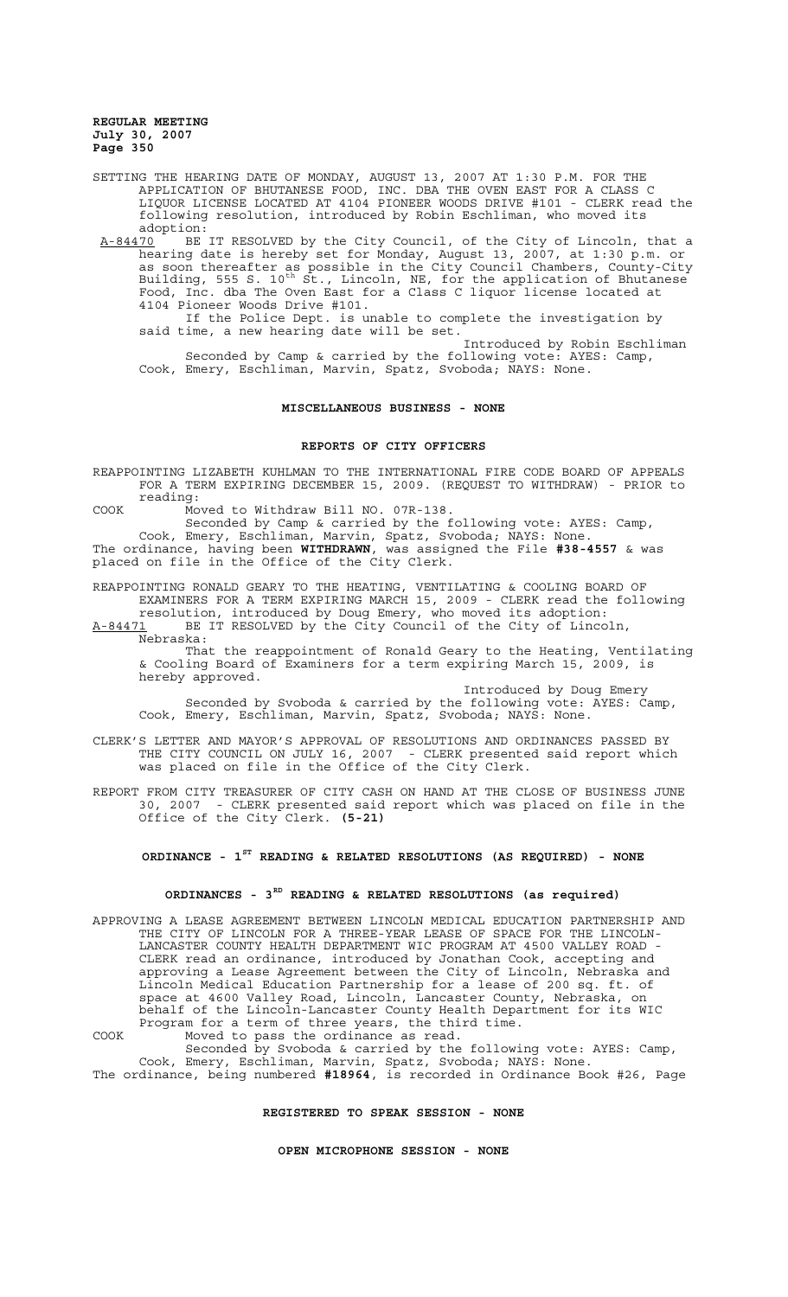SETTING THE HEARING DATE OF MONDAY, AUGUST 13, 2007 AT 1:30 P.M. FOR THE APPLICATION OF BHUTANESE FOOD, INC. DBA THE OVEN EAST FOR A CLASS C LIQUOR LICENSE LOCATED AT 4104 PIONEER WOODS DRIVE #101 - CLERK read the following resolution, introduced by Robin Eschliman, who moved its adoption:

A-84470 BE IT RESOLVED by the City Council, of the City of Lincoln, that a hearing date is hereby set for Monday, August 13, 2007, at 1:30 p.m. or as soon thereafter as possible in the City Council Chambers, County-City Building, 555 S. 10<sup>th</sup> St., Lincoln, NE, for the application of Bhutanese Food, Inc. dba The Oven East for a Class C liquor license located at 4104 Pioneer Woods Drive #101.

If the Police Dept. is unable to complete the investigation by said time, a new hearing date will be set.

Introduced by Robin Eschliman Seconded by Camp & carried by the following vote: AYES: Camp, Cook, Emery, Eschliman, Marvin, Spatz, Svoboda; NAYS: None.

## **MISCELLANEOUS BUSINESS - NONE**

### **REPORTS OF CITY OFFICERS**

REAPPOINTING LIZABETH KUHLMAN TO THE INTERNATIONAL FIRE CODE BOARD OF APPEALS FOR A TERM EXPIRING DECEMBER 15, 2009. (REQUEST TO WITHDRAW) - PRIOR to reading:

COOK Moved to Withdraw Bill NO. 07R-138.

Seconded by Camp & carried by the following vote: AYES: Camp, Cook, Emery, Eschliman, Marvin, Spatz, Svoboda; NAYS: None. The ordinance, having been **WITHDRAWN**, was assigned the File **#38-4557** & was

placed on file in the Office of the City Clerk.

REAPPOINTING RONALD GEARY TO THE HEATING, VENTILATING & COOLING BOARD OF EXAMINERS FOR A TERM EXPIRING MARCH 15, 2009 - CLERK read the following resolution, introduced by Doug Emery, who moved its adoption: A-84471 BE IT RESOLVED by the City Council of the City of Lincoln,

Nebraska: That the reappointment of Ronald Geary to the Heating, Ventilating & Cooling Board of Examiners for a term expiring March 15, 2009, is hereby approved.

Introduced by Doug Emery Seconded by Svoboda & carried by the following vote: AYES: Camp, Cook, Emery, Eschliman, Marvin, Spatz, Svoboda; NAYS: None.

CLERK'S LETTER AND MAYOR'S APPROVAL OF RESOLUTIONS AND ORDINANCES PASSED BY THE CITY COUNCIL ON JULY 16, 2007 - CLERK presented said report which was placed on file in the Office of the City Clerk.

REPORT FROM CITY TREASURER OF CITY CASH ON HAND AT THE CLOSE OF BUSINESS JUNE 30, 2007 - CLERK presented said report which was placed on file in the Office of the City Clerk. **(5-21)** 

## **ORDINANCE - 1ST READING & RELATED RESOLUTIONS (AS REQUIRED) - NONE**

### **ORDINANCES - 3RD READING & RELATED RESOLUTIONS (as required)**

APPROVING A LEASE AGREEMENT BETWEEN LINCOLN MEDICAL EDUCATION PARTNERSHIP AND THE CITY OF LINCOLN FOR A THREE-YEAR LEASE OF SPACE FOR THE LINCOLN-LANCASTER COUNTY HEALTH DEPARTMENT WIC PROGRAM AT 4500 VALLEY ROAD - CLERK read an ordinance, introduced by Jonathan Cook, accepting and approving a Lease Agreement between the City of Lincoln, Nebraska and Lincoln Medical Education Partnership for a lease of 200 sq. ft. of space at 4600 Valley Road, Lincoln, Lancaster County, Nebraska, on behalf of the Lincoln-Lancaster County Health Department for its WIC Program for a term of three years, the third time. COOK Moved to pass the ordinance as read.

Seconded by Svoboda & carried by the following vote: AYES: Camp, Cook, Emery, Eschliman, Marvin, Spatz, Svoboda; NAYS: None. The ordinance, being numbered **#18964**, is recorded in Ordinance Book #26, Page

# **REGISTERED TO SPEAK SESSION - NONE**

**OPEN MICROPHONE SESSION - NONE**